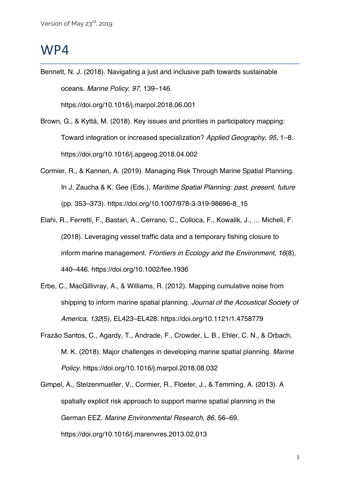## WP4

Bennett, N. J. (2018). Navigating a just and inclusive path towards sustainable oceans. *Marine Policy*, *97*, 139–146.

https://doi.org/10.1016/j.marpol.2018.06.001

- Brown, G., & Kyttä, M. (2018). Key issues and priorities in participatory mapping: Toward integration or increased specialization? *Applied Geography*, *95*, 1–8. https://doi.org/10.1016/j.apgeog.2018.04.002
- Cormier, R., & Kannen, A. (2019). Managing Risk Through Marine Spatial Planning. In J. Zaucha & K. Gee (Eds.), *Maritime Spatial Planning: past, present, future* (pp. 353–373). https://doi.org/10.1007/978-3-319-98696-8\_15
- Elahi, R., Ferretti, F., Bastari, A., Cerrano, C., Colloca, F., Kowalik, J., … Micheli, F. (2018). Leveraging vessel traffic data and a temporary fishing closure to inform marine management. *Frontiers in Ecology and the Environment*, *16*(8), 440–446. https://doi.org/10.1002/fee.1936
- Erbe, C., MacGillivray, A., & Williams, R. (2012). Mapping cumulative noise from shipping to inform marine spatial planning. *Journal of the Acoustical Society of America*, *132*(5), EL423–EL428. https://doi.org/10.1121/1.4758779
- Frazão Santos, C., Agardy, T., Andrade, F., Crowder, L. B., Ehler, C. N., & Orbach, M. K. (2018). Major challenges in developing marine spatial planning. *Marine Policy*. https://doi.org/10.1016/j.marpol.2018.08.032
- Gimpel, A., Stelzenmueller, V., Cormier, R., Floeter, J., & Temming, A. (2013). A spatially explicit risk approach to support marine spatial planning in the German EEZ. *Marine Environmental Research*, *86*, 56–69. https://doi.org/10.1016/j.marenvres.2013.02.013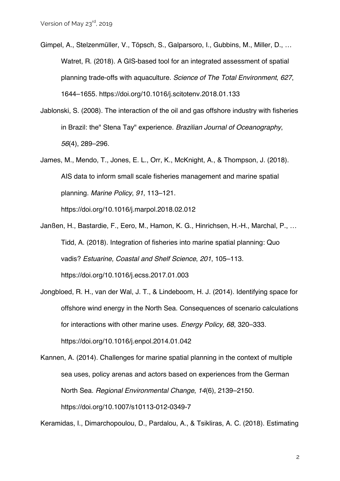- Gimpel, A., Stelzenmüller, V., Töpsch, S., Galparsoro, I., Gubbins, M., Miller, D., … Watret, R. (2018). A GIS-based tool for an integrated assessment of spatial planning trade-offs with aquaculture. *Science of The Total Environment*, *627*, 1644–1655. https://doi.org/10.1016/j.scitotenv.2018.01.133
- Jablonski, S. (2008). The interaction of the oil and gas offshore industry with fisheries in Brazil: the" Stena Tay" experience. *Brazilian Journal of Oceanography*, *56*(4), 289–296.
- James, M., Mendo, T., Jones, E. L., Orr, K., McKnight, A., & Thompson, J. (2018). AIS data to inform small scale fisheries management and marine spatial planning. *Marine Policy*, *91*, 113–121.

https://doi.org/10.1016/j.marpol.2018.02.012

- Janßen, H., Bastardie, F., Eero, M., Hamon, K. G., Hinrichsen, H.-H., Marchal, P., … Tidd, A. (2018). Integration of fisheries into marine spatial planning: Quo vadis? *Estuarine, Coastal and Shelf Science*, *201*, 105–113. https://doi.org/10.1016/j.ecss.2017.01.003
- Jongbloed, R. H., van der Wal, J. T., & Lindeboom, H. J. (2014). Identifying space for offshore wind energy in the North Sea. Consequences of scenario calculations for interactions with other marine uses. *Energy Policy*, *68*, 320–333. https://doi.org/10.1016/j.enpol.2014.01.042
- Kannen, A. (2014). Challenges for marine spatial planning in the context of multiple sea uses, policy arenas and actors based on experiences from the German North Sea. *Regional Environmental Change*, *14*(6), 2139–2150. https://doi.org/10.1007/s10113-012-0349-7

Keramidas, I., Dimarchopoulou, D., Pardalou, A., & Tsikliras, A. C. (2018). Estimating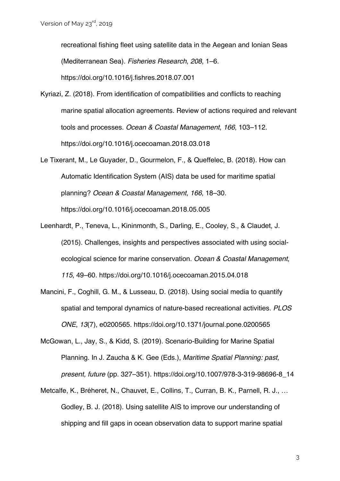recreational fishing fleet using satellite data in the Aegean and Ionian Seas (Mediterranean Sea). *Fisheries Research*, *208*, 1–6.

https://doi.org/10.1016/j.fishres.2018.07.001

- Kyriazi, Z. (2018). From identification of compatibilities and conflicts to reaching marine spatial allocation agreements. Review of actions required and relevant tools and processes. *Ocean & Coastal Management*, *166*, 103–112. https://doi.org/10.1016/j.ocecoaman.2018.03.018
- Le Tixerant, M., Le Guyader, D., Gourmelon, F., & Queffelec, B. (2018). How can Automatic Identification System (AIS) data be used for maritime spatial planning? *Ocean & Coastal Management*, *166*, 18–30. https://doi.org/10.1016/j.ocecoaman.2018.05.005
- Leenhardt, P., Teneva, L., Kininmonth, S., Darling, E., Cooley, S., & Claudet, J. (2015). Challenges, insights and perspectives associated with using socialecological science for marine conservation. *Ocean & Coastal Management*, *115*, 49–60. https://doi.org/10.1016/j.ocecoaman.2015.04.018
- Mancini, F., Coghill, G. M., & Lusseau, D. (2018). Using social media to quantify spatial and temporal dynamics of nature-based recreational activities. *PLOS ONE*, *13*(7), e0200565. https://doi.org/10.1371/journal.pone.0200565
- McGowan, L., Jay, S., & Kidd, S. (2019). Scenario-Building for Marine Spatial Planning. In J. Zaucha & K. Gee (Eds.), *Maritime Spatial Planning: past, present, future* (pp. 327–351). https://doi.org/10.1007/978-3-319-98696-8\_14
- Metcalfe, K., Bréheret, N., Chauvet, E., Collins, T., Curran, B. K., Parnell, R. J., … Godley, B. J. (2018). Using satellite AIS to improve our understanding of shipping and fill gaps in ocean observation data to support marine spatial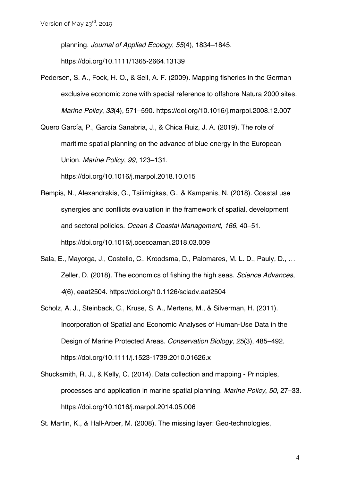planning. *Journal of Applied Ecology*, *55*(4), 1834–1845.

https://doi.org/10.1111/1365-2664.13139

- Pedersen, S. A., Fock, H. O., & Sell, A. F. (2009). Mapping fisheries in the German exclusive economic zone with special reference to offshore Natura 2000 sites. *Marine Policy*, *33*(4), 571–590. https://doi.org/10.1016/j.marpol.2008.12.007
- Quero García, P., García Sanabria, J., & Chica Ruiz, J. A. (2019). The role of maritime spatial planning on the advance of blue energy in the European Union. *Marine Policy*, *99*, 123–131.

https://doi.org/10.1016/j.marpol.2018.10.015

- Rempis, N., Alexandrakis, G., Tsilimigkas, G., & Kampanis, N. (2018). Coastal use synergies and conflicts evaluation in the framework of spatial, development and sectoral policies. *Ocean & Coastal Management*, *166*, 40–51. https://doi.org/10.1016/j.ocecoaman.2018.03.009
- Sala, E., Mayorga, J., Costello, C., Kroodsma, D., Palomares, M. L. D., Pauly, D., … Zeller, D. (2018). The economics of fishing the high seas. *Science Advances*, *4*(6), eaat2504. https://doi.org/10.1126/sciadv.aat2504
- Scholz, A. J., Steinback, C., Kruse, S. A., Mertens, M., & Silverman, H. (2011). Incorporation of Spatial and Economic Analyses of Human-Use Data in the Design of Marine Protected Areas. *Conservation Biology*, *25*(3), 485–492. https://doi.org/10.1111/j.1523-1739.2010.01626.x
- Shucksmith, R. J., & Kelly, C. (2014). Data collection and mapping Principles, processes and application in marine spatial planning. *Marine Policy*, *50*, 27–33. https://doi.org/10.1016/j.marpol.2014.05.006
- St. Martin, K., & Hall-Arber, M. (2008). The missing layer: Geo-technologies,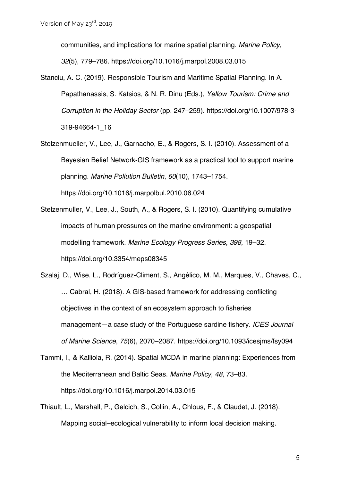communities, and implications for marine spatial planning. *Marine Policy*,

*32*(5), 779–786. https://doi.org/10.1016/j.marpol.2008.03.015

- Stanciu, A. C. (2019). Responsible Tourism and Maritime Spatial Planning. In A. Papathanassis, S. Katsios, & N. R. Dinu (Eds.), *Yellow Tourism: Crime and Corruption in the Holiday Sector* (pp. 247–259). https://doi.org/10.1007/978-3- 319-94664-1\_16
- Stelzenmueller, V., Lee, J., Garnacho, E., & Rogers, S. I. (2010). Assessment of a Bayesian Belief Network-GIS framework as a practical tool to support marine planning. *Marine Pollution Bulletin*, *60*(10), 1743–1754. https://doi.org/10.1016/j.marpolbul.2010.06.024
- Stelzenmuller, V., Lee, J., South, A., & Rogers, S. I. (2010). Quantifying cumulative impacts of human pressures on the marine environment: a geospatial modelling framework. *Marine Ecology Progress Series*, *398*, 19–32. https://doi.org/10.3354/meps08345
- Szalaj, D., Wise, L., Rodríguez-Climent, S., Angélico, M. M., Marques, V., Chaves, C., … Cabral, H. (2018). A GIS-based framework for addressing conflicting objectives in the context of an ecosystem approach to fisheries management—a case study of the Portuguese sardine fishery. *ICES Journal of Marine Science*, *75*(6), 2070–2087. https://doi.org/10.1093/icesjms/fsy094
- Tammi, I., & Kalliola, R. (2014). Spatial MCDA in marine planning: Experiences from the Mediterranean and Baltic Seas. *Marine Policy*, *48*, 73–83. https://doi.org/10.1016/j.marpol.2014.03.015
- Thiault, L., Marshall, P., Gelcich, S., Collin, A., Chlous, F., & Claudet, J. (2018). Mapping social–ecological vulnerability to inform local decision making.